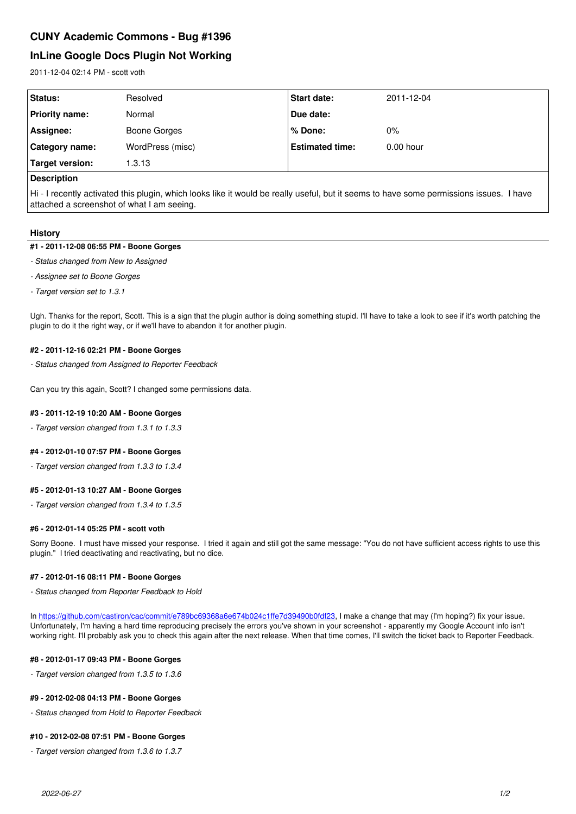# **InLine Google Docs Plugin Not Working**

2011-12-04 02:14 PM - scott voth

| Status:         | Resolved         | Start date:            | 2011-12-04  |
|-----------------|------------------|------------------------|-------------|
| Priority name:  | Normal           | Due date:              |             |
| Assignee:       | Boone Gorges     | ∣% Done:               | $0\%$       |
| Category name:  | WordPress (misc) | <b>Estimated time:</b> | $0.00$ hour |
| Target version: | 1.3.13           |                        |             |
|                 |                  |                        |             |

# **Description**

Hi - I recently activated this plugin, which looks like it would be really useful, but it seems to have some permissions issues. I have attached a screenshot of what I am seeing.

# **History**

#### **#1 - 2011-12-08 06:55 PM - Boone Gorges**

- *Status changed from New to Assigned*
- *Assignee set to Boone Gorges*
- *Target version set to 1.3.1*

Ugh. Thanks for the report, Scott. This is a sign that the plugin author is doing something stupid. I'll have to take a look to see if it's worth patching the plugin to do it the right way, or if we'll have to abandon it for another plugin.

#### **#2 - 2011-12-16 02:21 PM - Boone Gorges**

*- Status changed from Assigned to Reporter Feedback*

Can you try this again, Scott? I changed some permissions data.

## **#3 - 2011-12-19 10:20 AM - Boone Gorges**

*- Target version changed from 1.3.1 to 1.3.3*

## **#4 - 2012-01-10 07:57 PM - Boone Gorges**

*- Target version changed from 1.3.3 to 1.3.4*

## **#5 - 2012-01-13 10:27 AM - Boone Gorges**

*- Target version changed from 1.3.4 to 1.3.5*

## **#6 - 2012-01-14 05:25 PM - scott voth**

Sorry Boone. I must have missed your response. I tried it again and still got the same message: "You do not have sufficient access rights to use this plugin." I tried deactivating and reactivating, but no dice.

## **#7 - 2012-01-16 08:11 PM - Boone Gorges**

*- Status changed from Reporter Feedback to Hold*

In<https://github.com/castiron/cac/commit/e789bc69368a6e674b024c1ffe7d39490b0fdf23>, I make a change that may (I'm hoping?) fix your issue. Unfortunately, I'm having a hard time reproducing precisely the errors you've shown in your screenshot - apparently my Google Account info isn't working right. I'll probably ask you to check this again after the next release. When that time comes, I'll switch the ticket back to Reporter Feedback.

## **#8 - 2012-01-17 09:43 PM - Boone Gorges**

*- Target version changed from 1.3.5 to 1.3.6*

## **#9 - 2012-02-08 04:13 PM - Boone Gorges**

*- Status changed from Hold to Reporter Feedback*

## **#10 - 2012-02-08 07:51 PM - Boone Gorges**

*- Target version changed from 1.3.6 to 1.3.7*